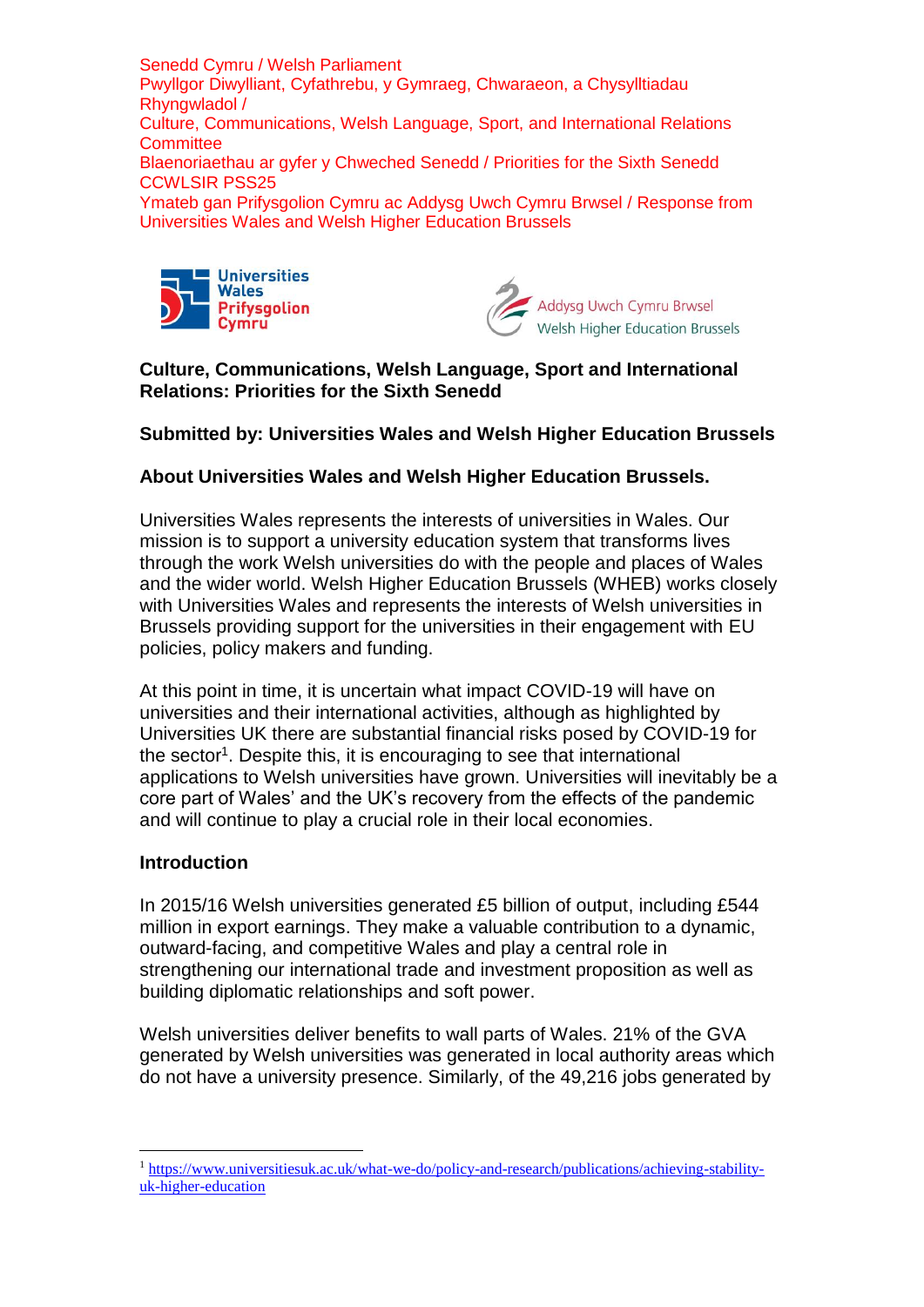



# **Culture, Communications, Welsh Language, Sport and International Relations: Priorities for the Sixth Senedd**

## **Submitted by: Universities Wales and Welsh Higher Education Brussels**

# **About Universities Wales and Welsh Higher Education Brussels.**

Universities Wales represents the interests of universities in Wales. Our mission is to support a university education system that transforms lives through the work Welsh universities do with the people and places of Wales and the wider world. Welsh Higher Education Brussels (WHEB) works closely with Universities Wales and represents the interests of Welsh universities in Brussels providing support for the universities in their engagement with EU policies, policy makers and funding.

At this point in time, it is uncertain what impact COVID-19 will have on universities and their international activities, although as highlighted by Universities UK there are substantial financial risks posed by COVID-19 for the sector<sup>1</sup>. Despite this, it is encouraging to see that international applications to Welsh universities have grown. Universities will inevitably be a core part of Wales' and the UK's recovery from the effects of the pandemic and will continue to play a crucial role in their local economies.

#### **Introduction**

1

In 2015/16 Welsh universities generated £5 billion of output, including £544 million in export earnings. They make a valuable contribution to a dynamic, outward-facing, and competitive Wales and play a central role in strengthening our international trade and investment proposition as well as building diplomatic relationships and soft power.

Welsh universities deliver benefits to wall parts of Wales. 21% of the GVA generated by Welsh universities was generated in local authority areas which do not have a university presence. Similarly, of the 49,216 jobs generated by

<sup>1</sup> [https://www.universitiesuk.ac.uk/what-we-do/policy-and-research/publications/achieving-stability](https://www.universitiesuk.ac.uk/what-we-do/policy-and-research/publications/achieving-stability-uk-higher-education)[uk-higher-education](https://www.universitiesuk.ac.uk/what-we-do/policy-and-research/publications/achieving-stability-uk-higher-education)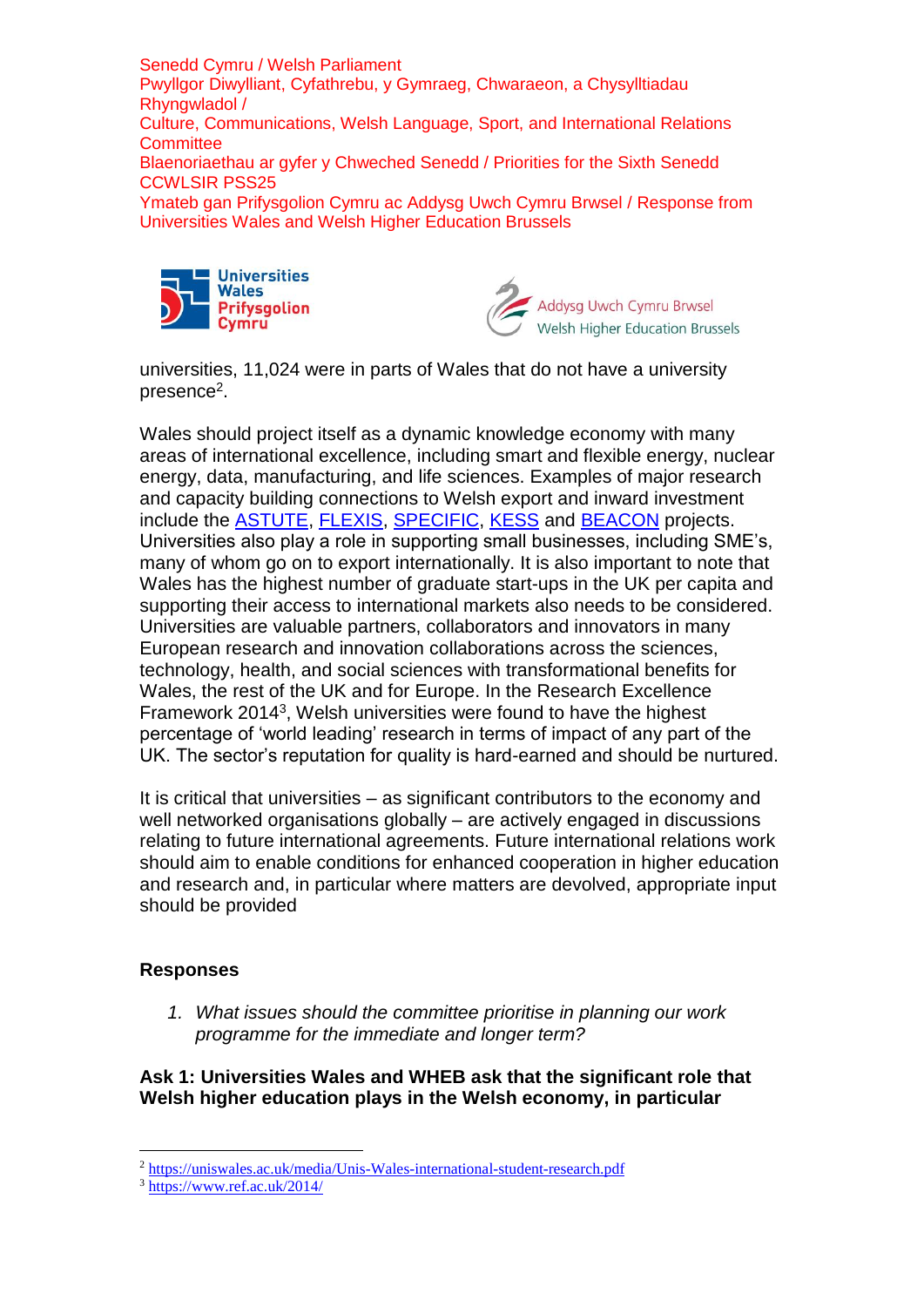



universities, 11,024 were in parts of Wales that do not have a university presence<sup>2</sup>.

Wales should project itself as a dynamic knowledge economy with many areas of international excellence, including smart and flexible energy, nuclear energy, data, manufacturing, and life sciences. Examples of major research and capacity building connections to Welsh export and inward investment include the [ASTUTE,](https://www.astutewales.com/en/) [FLEXIS,](https://www.flexis.wales/) [SPECIFIC,](https://www.specific.eu.com/) [KESS](http://kess2.ac.uk/about/) and [BEACON](https://beaconwales.org/) projects. Universities also play a role in supporting small businesses, including SME's, many of whom go on to export internationally. It is also important to note that Wales has the highest number of graduate start-ups in the UK per capita and supporting their access to international markets also needs to be considered. Universities are valuable partners, collaborators and innovators in many European research and innovation collaborations across the sciences, technology, health, and social sciences with transformational benefits for Wales, the rest of the UK and for Europe. In the Research Excellence Framework 2014<sup>3</sup>, Welsh universities were found to have the highest percentage of 'world leading' research in terms of impact of any part of the UK. The sector's reputation for quality is hard-earned and should be nurtured.

It is critical that universities – as significant contributors to the economy and well networked organisations globally – are actively engaged in discussions relating to future international agreements. Future international relations work should aim to enable conditions for enhanced cooperation in higher education and research and, in particular where matters are devolved, appropriate input should be provided

#### **Responses**

1

*1. What issues should the committee prioritise in planning our work programme for the immediate and longer term?* 

**Ask 1: Universities Wales and WHEB ask that the significant role that Welsh higher education plays in the Welsh economy, in particular** 

<sup>2</sup> <https://uniswales.ac.uk/media/Unis-Wales-international-student-research.pdf>

 $3 \text{ <https://www.ref.ac.uk/2014/>$  $3 \text{ <https://www.ref.ac.uk/2014/>$  $3 \text{ <https://www.ref.ac.uk/2014/>$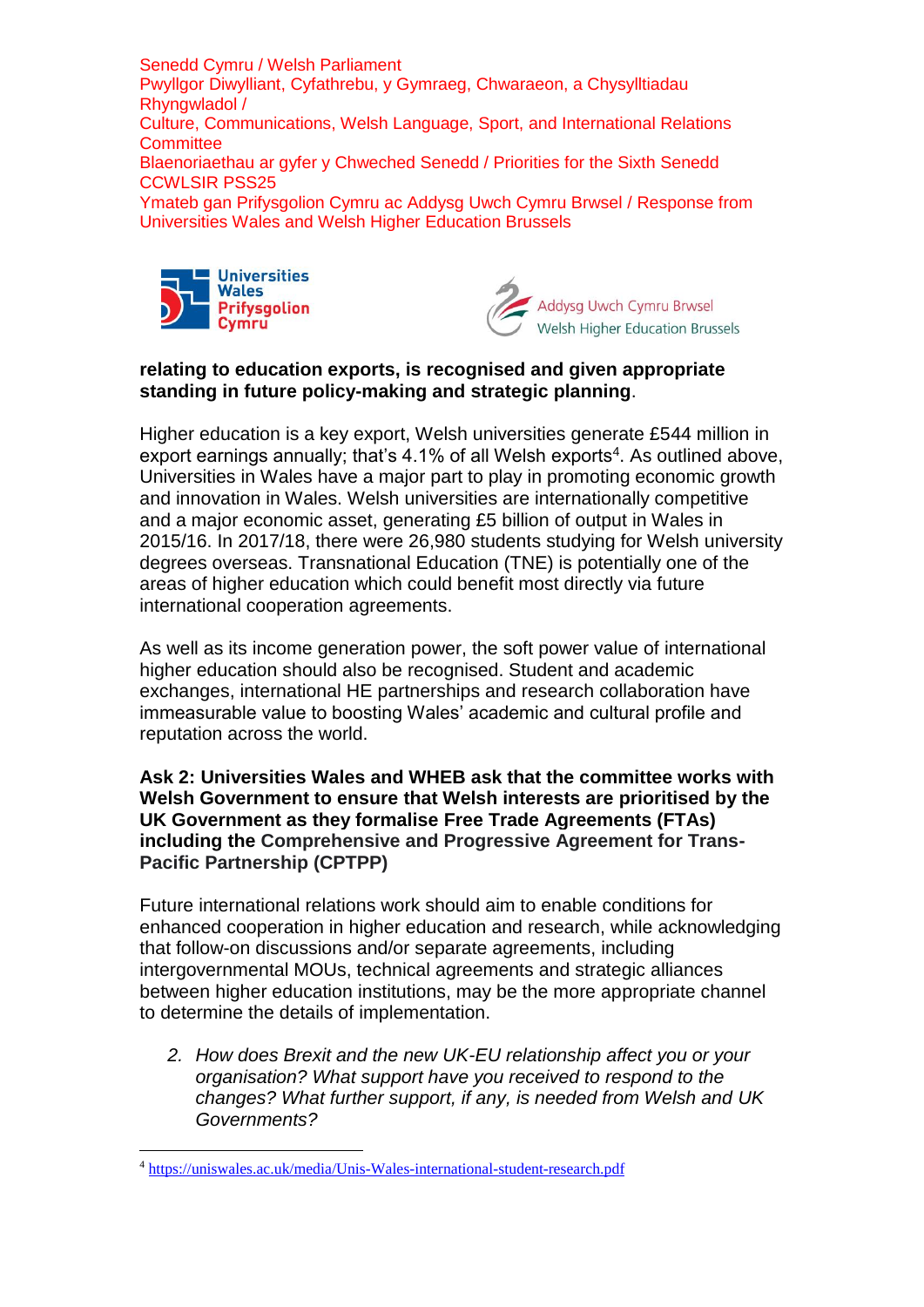



### **relating to education exports, is recognised and given appropriate standing in future policy-making and strategic planning**.

Higher education is a key export, Welsh universities generate £544 million in export earnings annually; that's  $4.1\%$  of all Welsh exports<sup>4</sup>. As outlined above, Universities in Wales have a major part to play in promoting economic growth and innovation in Wales. Welsh universities are internationally competitive and a major economic asset, generating £5 billion of output in Wales in 2015/16. In 2017/18, there were 26,980 students studying for Welsh university degrees overseas. Transnational Education (TNE) is potentially one of the areas of higher education which could benefit most directly via future international cooperation agreements.

As well as its income generation power, the soft power value of international higher education should also be recognised. Student and academic exchanges, international HE partnerships and research collaboration have immeasurable value to boosting Wales' academic and cultural profile and reputation across the world.

**Ask 2: Universities Wales and WHEB ask that the committee works with Welsh Government to ensure that Welsh interests are prioritised by the UK Government as they formalise Free Trade Agreements (FTAs) including the Comprehensive and Progressive Agreement for Trans-Pacific Partnership (CPTPP)**

Future international relations work should aim to enable conditions for enhanced cooperation in higher education and research, while acknowledging that follow-on discussions and/or separate agreements, including intergovernmental MOUs, technical agreements and strategic alliances between higher education institutions, may be the more appropriate channel to determine the details of implementation.

*2. How does Brexit and the new UK-EU relationship affect you or your organisation? What support have you received to respond to the changes? What further support, if any, is needed from Welsh and UK Governments?*

1

<sup>4</sup> <https://uniswales.ac.uk/media/Unis-Wales-international-student-research.pdf>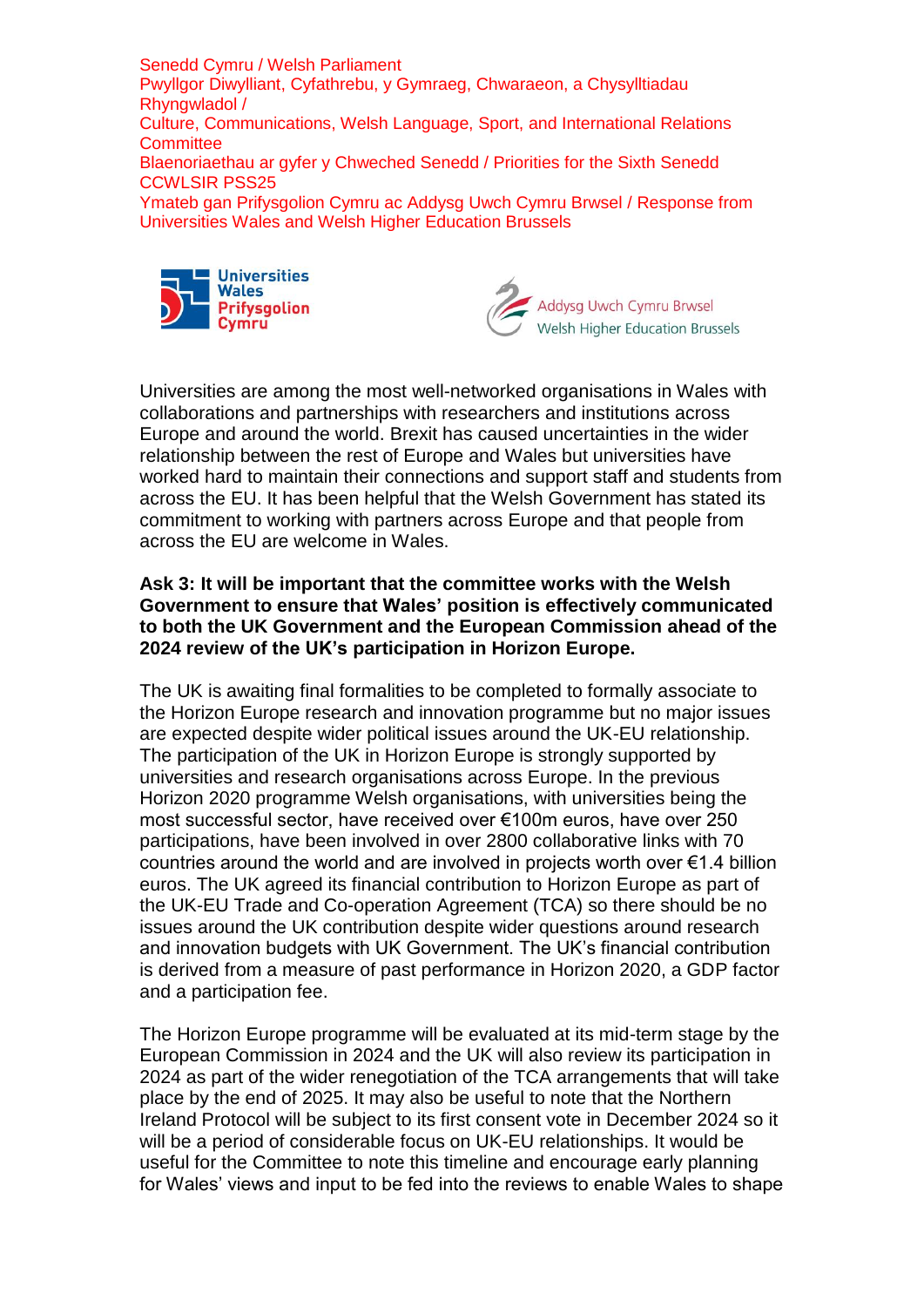



Universities are among the most well-networked organisations in Wales with collaborations and partnerships with researchers and institutions across Europe and around the world. Brexit has caused uncertainties in the wider relationship between the rest of Europe and Wales but universities have worked hard to maintain their connections and support staff and students from across the EU. It has been helpful that the Welsh Government has stated its commitment to working with partners across Europe and that people from across the EU are welcome in Wales.

#### **Ask 3: It will be important that the committee works with the Welsh Government to ensure that Wales' position is effectively communicated to both the UK Government and the European Commission ahead of the 2024 review of the UK's participation in Horizon Europe.**

The UK is awaiting final formalities to be completed to formally associate to the Horizon Europe research and innovation programme but no major issues are expected despite wider political issues around the UK-EU relationship. The participation of the UK in Horizon Europe is strongly supported by universities and research organisations across Europe. In the previous Horizon 2020 programme Welsh organisations, with universities being the most successful sector, have received over €100m euros, have over 250 participations, have been involved in over 2800 collaborative links with 70 countries around the world and are involved in projects worth over €1.4 billion euros. The UK agreed its financial contribution to Horizon Europe as part of the UK-EU Trade and Co-operation Agreement (TCA) so there should be no issues around the UK contribution despite wider questions around research and innovation budgets with UK Government. The UK's financial contribution is derived from a measure of past performance in Horizon 2020, a GDP factor and a participation fee.

The Horizon Europe programme will be evaluated at its mid-term stage by the European Commission in 2024 and the UK will also review its participation in 2024 as part of the wider renegotiation of the TCA arrangements that will take place by the end of 2025. It may also be useful to note that the Northern Ireland Protocol will be subject to its first consent vote in December 2024 so it will be a period of considerable focus on UK-EU relationships. It would be useful for the Committee to note this timeline and encourage early planning for Wales' views and input to be fed into the reviews to enable Wales to shape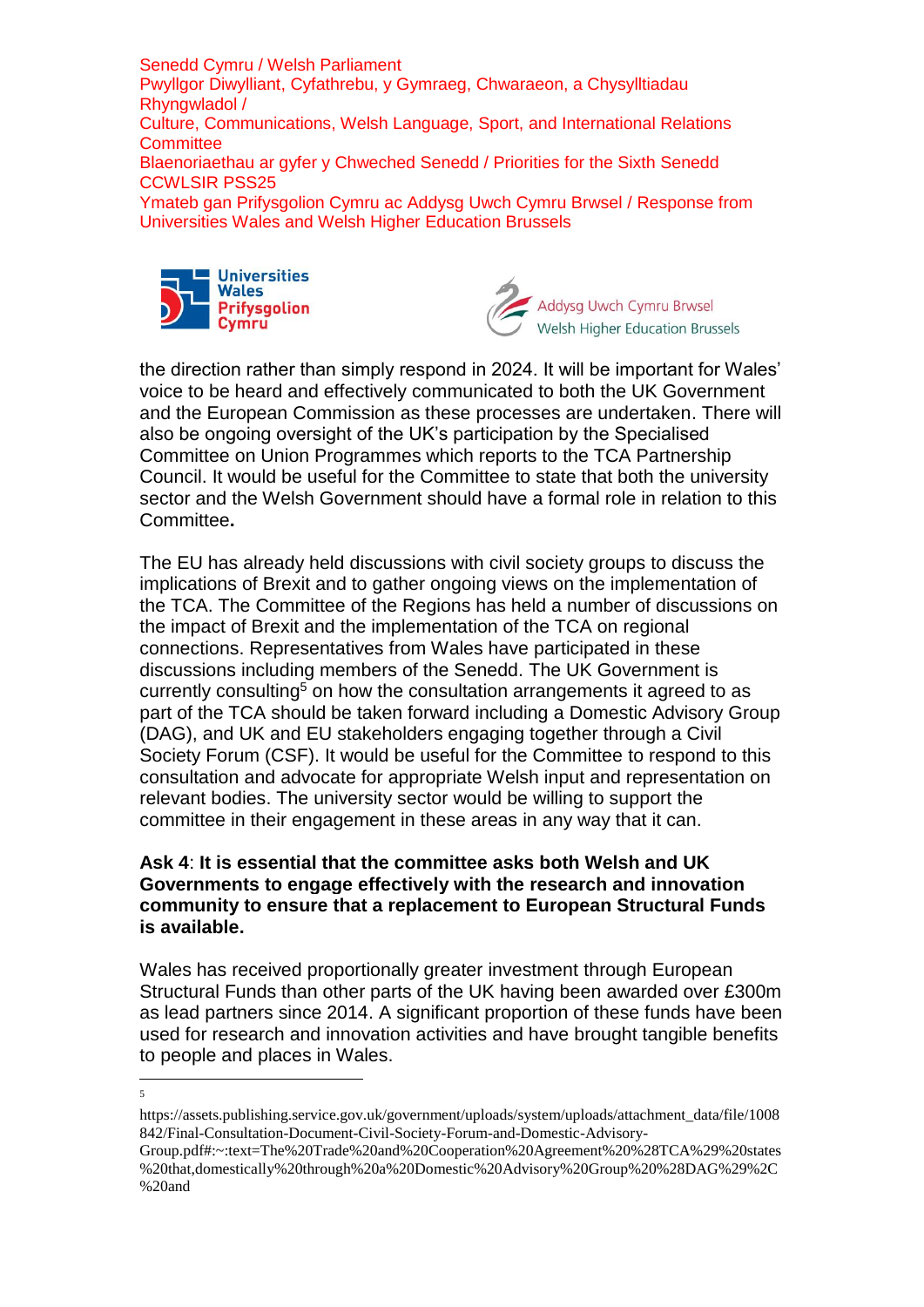

 $\frac{1}{5}$ 



the direction rather than simply respond in 2024. It will be important for Wales' voice to be heard and effectively communicated to both the UK Government and the European Commission as these processes are undertaken. There will also be ongoing oversight of the UK's participation by the Specialised Committee on Union Programmes which reports to the TCA Partnership Council. It would be useful for the Committee to state that both the university sector and the Welsh Government should have a formal role in relation to this Committee**.**

The EU has already held discussions with civil society groups to discuss the implications of Brexit and to gather ongoing views on the implementation of the TCA. The Committee of the Regions has held a number of discussions on the impact of Brexit and the implementation of the TCA on regional connections. Representatives from Wales have participated in these discussions including members of the Senedd. The UK Government is currently consulting<sup>5</sup> on how the consultation arrangements it agreed to as part of the TCA should be taken forward including a Domestic Advisory Group (DAG), and UK and EU stakeholders engaging together through a Civil Society Forum (CSF). It would be useful for the Committee to respond to this consultation and advocate for appropriate Welsh input and representation on relevant bodies. The university sector would be willing to support the committee in their engagement in these areas in any way that it can.

### **Ask 4**: **It is essential that the committee asks both Welsh and UK Governments to engage effectively with the research and innovation community to ensure that a replacement to European Structural Funds is available.**

Wales has received proportionally greater investment through European Structural Funds than other parts of the UK having been awarded over £300m as lead partners since 2014. A significant proportion of these funds have been used for research and innovation activities and have brought tangible benefits to people and places in Wales.

Group.pdf#:~:text=The%20Trade%20and%20Cooperation%20Agreement%20%28TCA%29%20states %20that,domestically%20through%20a%20Domestic%20Advisory%20Group%20%28DAG%29%2C %20and

https://assets.publishing.service.gov.uk/government/uploads/system/uploads/attachment\_data/file/1008 842/Final-Consultation-Document-Civil-Society-Forum-and-Domestic-Advisory-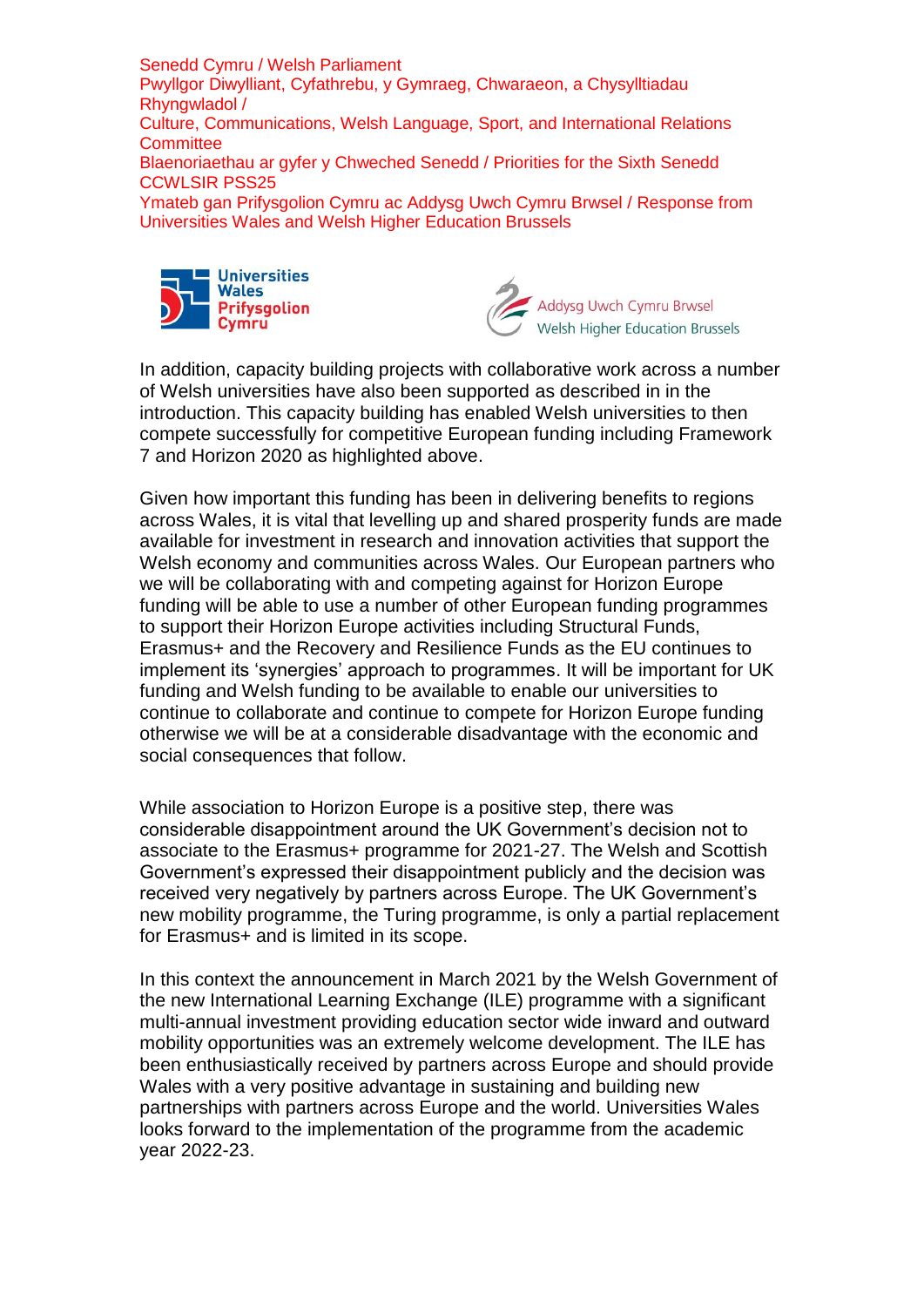



In addition, capacity building projects with collaborative work across a number of Welsh universities have also been supported as described in in the introduction. This capacity building has enabled Welsh universities to then compete successfully for competitive European funding including Framework 7 and Horizon 2020 as highlighted above.

Given how important this funding has been in delivering benefits to regions across Wales, it is vital that levelling up and shared prosperity funds are made available for investment in research and innovation activities that support the Welsh economy and communities across Wales. Our European partners who we will be collaborating with and competing against for Horizon Europe funding will be able to use a number of other European funding programmes to support their Horizon Europe activities including Structural Funds, Erasmus+ and the Recovery and Resilience Funds as the EU continues to implement its 'synergies' approach to programmes. It will be important for UK funding and Welsh funding to be available to enable our universities to continue to collaborate and continue to compete for Horizon Europe funding otherwise we will be at a considerable disadvantage with the economic and social consequences that follow.

While association to Horizon Europe is a positive step, there was considerable disappointment around the UK Government's decision not to associate to the Erasmus+ programme for 2021-27. The Welsh and Scottish Government's expressed their disappointment publicly and the decision was received very negatively by partners across Europe. The UK Government's new mobility programme, the Turing programme, is only a partial replacement for Erasmus+ and is limited in its scope.

In this context the announcement in March 2021 by the Welsh Government of the new International Learning Exchange (ILE) programme with a significant multi-annual investment providing education sector wide inward and outward mobility opportunities was an extremely welcome development. The ILE has been enthusiastically received by partners across Europe and should provide Wales with a very positive advantage in sustaining and building new partnerships with partners across Europe and the world. Universities Wales looks forward to the implementation of the programme from the academic year 2022-23.